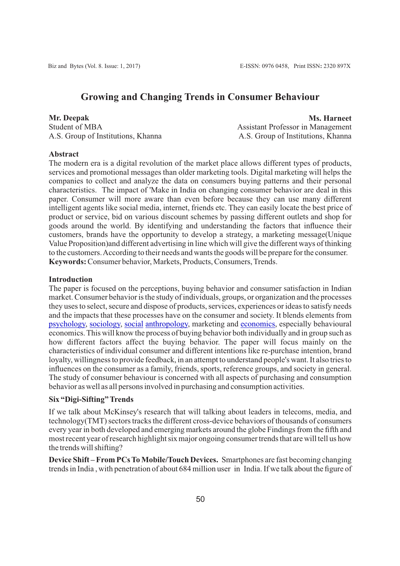# **Growing and Changing Trends in Consumer Behaviour**

#### **Mr. Deepak**

Student of MBA A.S. Group of Institutions, Khanna

**Ms. Harneet** Assistant Professor in Management A.S. Group of Institutions, Khanna

### **Abstract**

The modern era is a digital revolution of the market place allows different types of products, services and promotional messages than older marketing tools. Digital marketing will helps the companies to collect and analyze the data on consumers buying patterns and their personal characteristics. The impact of 'Make in India on changing consumer behavior are deal in this paper. Consumer will more aware than even before because they can use many different intelligent agents like social media, internet, friends etc. They can easily locate the best price of product or service, bid on various discount schemes by passing different outlets and shop for goods around the world. By identifying and understanding the factors that influence their customers, brands have the opportunity to develop a strategy, a marketing message(Unique Value Proposition)and different advertising in line which will give the different ways of thinking to the customers. According to their needs and wants the goods will be prepare for the consumer. **Keywords:** Consumer behavior, Markets, Products, Consumers, Trends.

### **Introduction**

The paper is focused on the perceptions, buying behavior and consumer satisfaction in Indian market. Consumer behavior is the study of individuals, groups, or organization and the processes they uses to select, secure and dispose of products, services, experiences or ideas to satisfy needs and the impacts that these processes have on the consumer and society. It blends elements from [psychology,](https://en.wikipedia.org/wiki/Psychology) [sociology,](https://en.wikipedia.org/wiki/Sociology) [social](https://en.wikipedia.org/wiki/Social_Anthropology) [anthropology,](https://en.wikipedia.org/wiki/Anthropology) marketing and [economics](https://en.wikipedia.org/wiki/Economics), especially behavioural economics. This will know the process of buying behavior both individually and in group such as how different factors affect the buying behavior. The paper will focus mainly on the characteristics of individual consumer and different intentions like re-purchase intention, brand loyalty, willingness to provide feedback, in an attempt to understand people's want. It also tries to influences on the consumer as a family, friends, sports, reference groups, and society in general. The study of consumer behaviour is concerned with all aspects of purchasing and consumption behavior as well as all persons involved in purchasing and consumption activities.

## **Six "Digi-Sifting" Trends**

If we talk about McKinsey's research that will talking about leaders in telecoms, media, and technology(TMT) sectors tracks the different cross-device behaviors of thousands of consumers every year in both developed and emerging markets around the globe Findings from the fifth and most recent year of research highlight six major ongoing consumer trends that are will tell us how the trends will shifting?

**Device Shift – From PCs To Mobile/Touch Devices.** Smartphones are fast becoming changing trends in India , with penetration of about 684 million user in India. If we talk about the figure of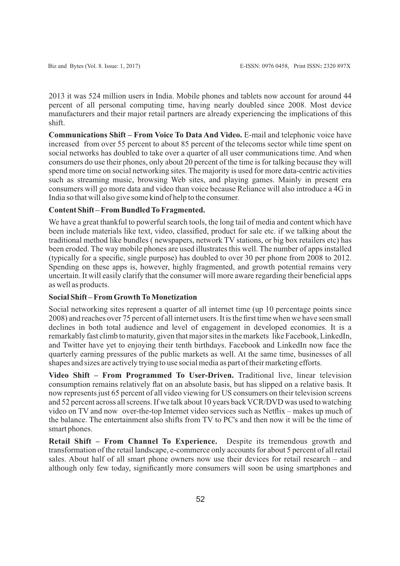2013 it was 524 million users in India. Mobile phones and tablets now account for around 44 percent of all personal computing time, having nearly doubled since 2008. Most device manufacturers and their major retail partners are already experiencing the implications of this shift.

**Communications Shift – From Voice To Data And Video.** E-mail and telephonic voice have increased from over 55 percent to about 85 percent of the telecoms sector while time spent on social networks has doubled to take over a quarter of all user communications time. And when consumers do use their phones, only about 20 percent of the time is for talking because they will spend more time on social networking sites. The majority is used for more data-centric activities such as streaming music, browsing Web sites, and playing games. Mainly in present era consumers will go more data and video than voice because Reliance will also introduce a 4G in India so that will also give some kind of help to the consumer.

## **Content Shift – From Bundled To Fragmented.**

We have a great thankful to powerful search tools, the long tail of media and content which have been include materials like text, video, classified, product for sale etc. if we talking about the traditional method like bundles ( newspapers, network TV stations, or big box retailers etc) has been eroded. The way mobile phones are used illustrates this well. The number of apps installed (typically for a specific, single purpose) has doubled to over 30 per phone from 2008 to 2012. Spending on these apps is, however, highly fragmented, and growth potential remains very uncertain. It will easily clarify that the consumer will more aware regarding their beneficial apps as well as products.

## **Social Shift – From Growth To Monetization**

Social networking sites represent a quarter of all internet time (up 10 percentage points since 2008) and reaches over 75 percent of all internet users. It is the first time when we have seen small declines in both total audience and level of engagement in developed economies. It is a remarkably fast climb to maturity, given that major sites in the markets like Facebook, LinkedIn, and Twitter have yet to enjoying their tenth birthdays. Facebook and LinkedIn now face the quarterly earning pressures of the public markets as well. At the same time, businesses of all shapes and sizes are actively trying to use social media as part of their marketing efforts.

**Video Shift – From Programmed To User-Driven.** Traditional live, linear television consumption remains relatively flat on an absolute basis, but has slipped on a relative basis. It now represents just 65 percent of all video viewing for US consumers on their television screens and 52 percent across all screens. If we talk about 10 years back VCR/DVD was used to watching video on TV and now over-the-top Internet video services such as Netflix – makes up much of the balance. The entertainment also shifts from TV to PC's and then now it will be the time of smart phones.

**Retail Shift – From Channel To Experience.** Despite its tremendous growth and transformation of the retail landscape, e-commerce only accounts for about 5 percent of all retail sales. About half of all smart phone owners now use their devices for retail research – and although only few today, significantly more consumers will soon be using smartphones and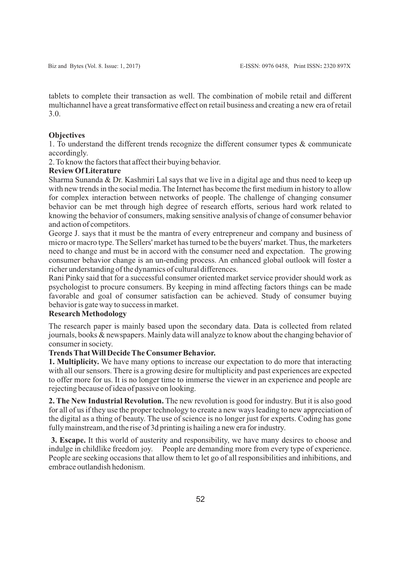tablets to complete their transaction as well. The combination of mobile retail and different multichannel have a great transformative effect on retail business and creating a new era of retail 3.0.

#### **Objectives**

1. To understand the different trends recognize the different consumer types & communicate accordingly.

2. To know the factors that affect their buying behavior.

## **Review Of Literature**

Sharma Sunanda & Dr. Kashmiri Lal says that we live in a digital age and thus need to keep up with new trends in the social media. The Internet has become the first medium in history to allow for complex interaction between networks of people. The challenge of changing consumer behavior can be met through high degree of research efforts, serious hard work related to knowing the behavior of consumers, making sensitive analysis of change of consumer behavior and action of competitors.

George J. says that it must be the mantra of every entrepreneur and company and business of micro or macro type. The Sellers' market has turned to be the buyers' market. Thus, the marketers need to change and must be in accord with the consumer need and expectation. The growing consumer behavior change is an un-ending process. An enhanced global outlook will foster a richer understanding of the dynamics of cultural differences.

Rani Pinky said that for a successful consumer oriented market service provider should work as psychologist to procure consumers. By keeping in mind affecting factors things can be made favorable and goal of consumer satisfaction can be achieved. Study of consumer buying behavior is gate way to success in market.

## **Research Methodology**

The research paper is mainly based upon the secondary data. Data is collected from related journals, books & newspapers. Mainly data will analyze to know about the changing behavior of consumer in society.

## **Trends That Will Decide The Consumer Behavior.**

**1. Multiplicity.** We have many options to increase our expectation to do more that interacting with all our sensors. There is a growing desire for multiplicity and past experiences are expected to offer more for us. It is no longer time to immerse the viewer in an experience and people are rejecting because of idea of passive on looking.

**2. The New Industrial Revolution.** The new revolution is good for industry. But it is also good for all of us if they use the proper technology to create a new ways leading to new appreciation of the digital as a thing of beauty. The use of science is no longer just for experts. Coding has gone fully mainstream, and the rise of 3d printing is hailing a new era for industry.

**3. Escape.** It this world of austerity and responsibility, we have many desires to choose and indulge in childlike freedom joy. People are demanding more from every type of experience. People are seeking occasions that allow them to let go of all responsibilities and inhibitions, and embrace outlandish hedonism.